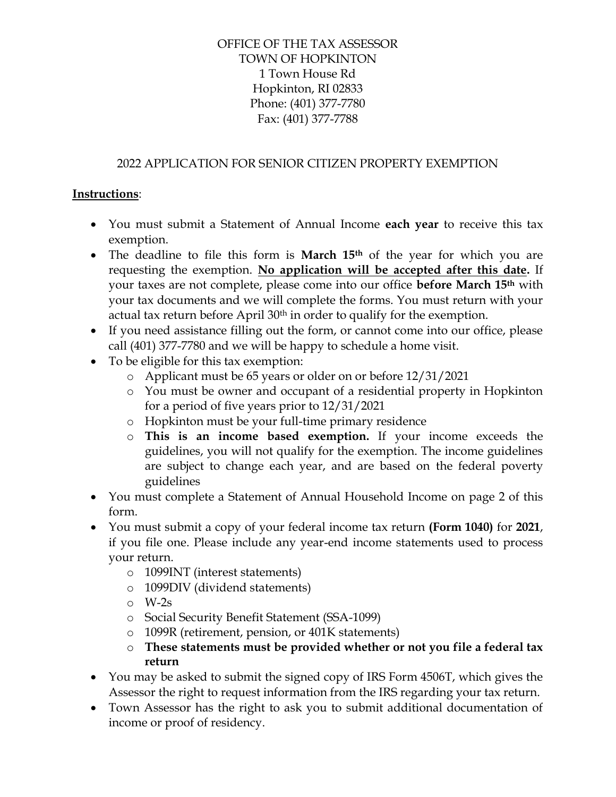## OFFICE OF THE TAX ASSESSOR TOWN OF HOPKINTON 1 Town House Rd Hopkinton, RI 02833 Phone: (401) 377-7780 Fax: (401) 377-7788

## 2022 APPLICATION FOR SENIOR CITIZEN PROPERTY EXEMPTION

### **Instructions**:

- You must submit a Statement of Annual Income **each year** to receive this tax exemption.
- The deadline to file this form is **March 15th** of the year for which you are requesting the exemption. **No application will be accepted after this date.** If your taxes are not complete, please come into our office **before March 15th** with your tax documents and we will complete the forms. You must return with your actual tax return before April 30<sup>th</sup> in order to qualify for the exemption.
- If you need assistance filling out the form, or cannot come into our office, please call (401) 377-7780 and we will be happy to schedule a home visit.
- To be eligible for this tax exemption:
	- o Applicant must be 65 years or older on or before 12/31/2021
	- o You must be owner and occupant of a residential property in Hopkinton for a period of five years prior to 12/31/2021
	- o Hopkinton must be your full-time primary residence
	- o **This is an income based exemption.** If your income exceeds the guidelines, you will not qualify for the exemption. The income guidelines are subject to change each year, and are based on the federal poverty guidelines
- You must complete a Statement of Annual Household Income on page 2 of this form.
- You must submit a copy of your federal income tax return **(Form 1040)** for **2021**, if you file one. Please include any year-end income statements used to process your return.
	- o 1099INT (interest statements)
	- o 1099DIV (dividend statements)
	- o W-2s
	- o Social Security Benefit Statement (SSA-1099)
	- o 1099R (retirement, pension, or 401K statements)
	- o **These statements must be provided whether or not you file a federal tax return**
- You may be asked to submit the signed copy of IRS Form 4506T, which gives the Assessor the right to request information from the IRS regarding your tax return.
- Town Assessor has the right to ask you to submit additional documentation of income or proof of residency.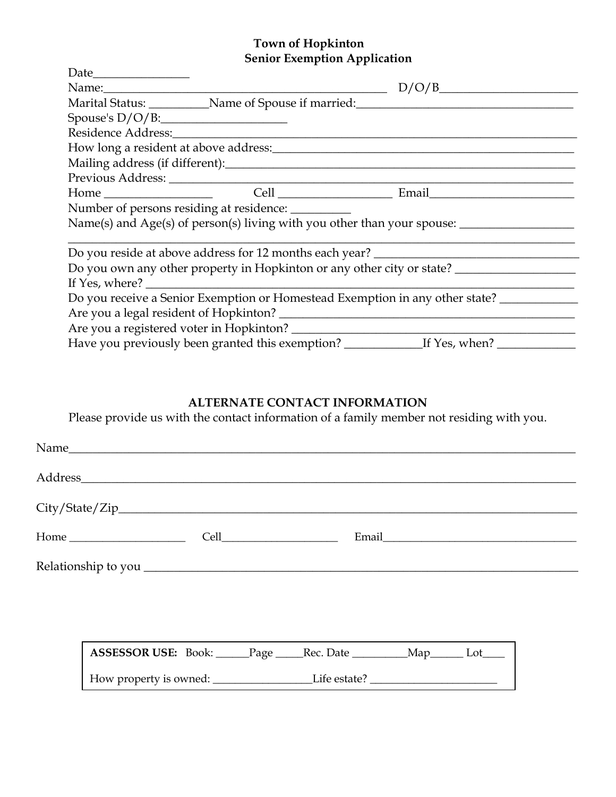### **Town of Hopkinton Senior Exemption Application**

|                                                                              |                                                     | D/O/B                                                                            |  |  |
|------------------------------------------------------------------------------|-----------------------------------------------------|----------------------------------------------------------------------------------|--|--|
|                                                                              |                                                     | Marital Status: Name of Spouse if married: Name of Spouse is married:            |  |  |
| Spouse's D/O/B:                                                              |                                                     |                                                                                  |  |  |
|                                                                              |                                                     |                                                                                  |  |  |
|                                                                              |                                                     |                                                                                  |  |  |
|                                                                              |                                                     |                                                                                  |  |  |
|                                                                              |                                                     |                                                                                  |  |  |
|                                                                              |                                                     | Home Cell Cell Email                                                             |  |  |
|                                                                              | Number of persons residing at residence: __________ |                                                                                  |  |  |
|                                                                              |                                                     |                                                                                  |  |  |
|                                                                              |                                                     |                                                                                  |  |  |
|                                                                              |                                                     | Do you reside at above address for 12 months each year? ________________________ |  |  |
|                                                                              |                                                     | Do you own any other property in Hopkinton or any other city or state?           |  |  |
|                                                                              |                                                     |                                                                                  |  |  |
| Do you receive a Senior Exemption or Homestead Exemption in any other state? |                                                     |                                                                                  |  |  |
|                                                                              |                                                     |                                                                                  |  |  |
|                                                                              |                                                     |                                                                                  |  |  |
|                                                                              |                                                     |                                                                                  |  |  |

# **ALTERNATE CONTACT INFORMATION**

Please provide us with the contact information of a family member not residing with you.

| City/State/Zip                                 |  |  |  |  |
|------------------------------------------------|--|--|--|--|
| $Home \_$ $Cell \_$                            |  |  |  |  |
|                                                |  |  |  |  |
|                                                |  |  |  |  |
|                                                |  |  |  |  |
| ASSESSOR USE: Book: Page Rec. Date Map Map Lot |  |  |  |  |
|                                                |  |  |  |  |